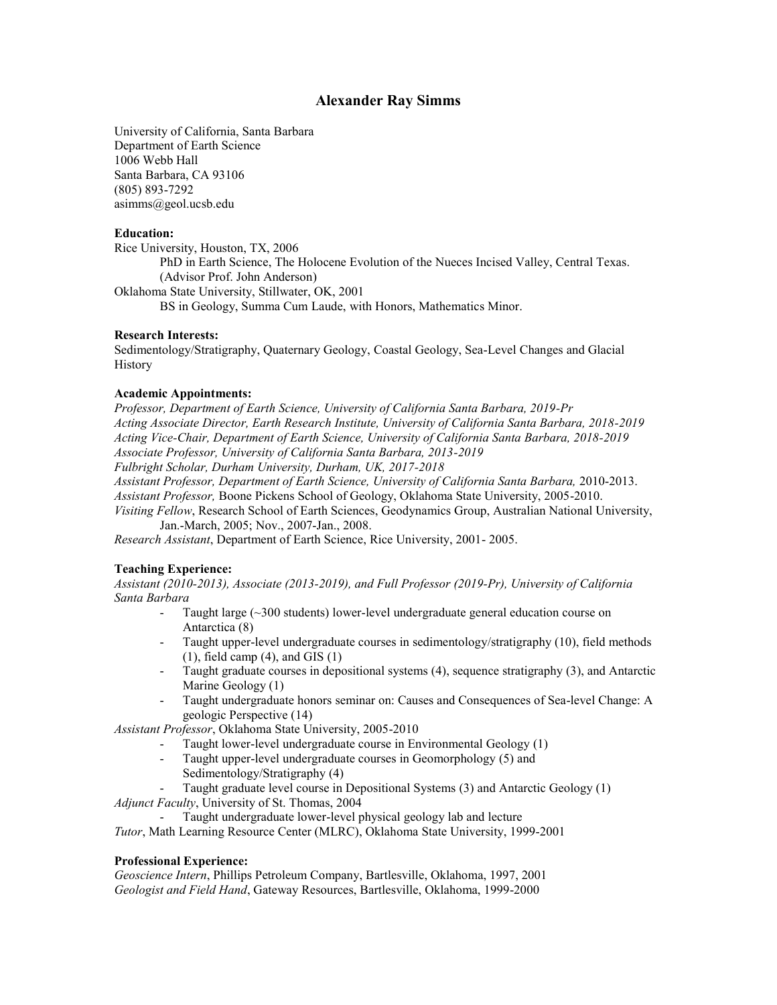# **Alexander Ray Simms**

University of California, Santa Barbara Department of Earth Science 1006 Webb Hall Santa Barbara, CA 93106 (805) 893-7292 asimms@geol.ucsb.edu

#### **Education:**

Rice University, Houston, TX, 2006 PhD in Earth Science, The Holocene Evolution of the Nueces Incised Valley, Central Texas. (Advisor Prof. John Anderson) Oklahoma State University, Stillwater, OK, 2001 BS in Geology, Summa Cum Laude, with Honors, Mathematics Minor.

# **Research Interests:**

Sedimentology/Stratigraphy, Quaternary Geology, Coastal Geology, Sea-Level Changes and Glacial History

#### **Academic Appointments:**

*Professor, Department of Earth Science, University of California Santa Barbara, 2019-Pr Acting Associate Director, Earth Research Institute, University of California Santa Barbara, 2018-2019 Acting Vice-Chair, Department of Earth Science, University of California Santa Barbara, 2018-2019 Associate Professor, University of California Santa Barbara, 2013-2019 Fulbright Scholar, Durham University, Durham, UK, 2017-2018*

*Assistant Professor, Department of Earth Science, University of California Santa Barbara,* 2010-2013. *Assistant Professor,* Boone Pickens School of Geology, Oklahoma State University, 2005-2010. *Visiting Fellow*, Research School of Earth Sciences, Geodynamics Group, Australian National University,

Jan.-March, 2005; Nov., 2007-Jan., 2008.

*Research Assistant*, Department of Earth Science, Rice University, 2001- 2005.

### **Teaching Experience:**

*Assistant (2010-2013), Associate (2013-2019), and Full Professor (2019-Pr), University of California Santa Barbara*

- Taught large  $(\sim 300$  students) lower-level undergraduate general education course on Antarctica (8)
- Taught upper-level undergraduate courses in sedimentology/stratigraphy (10), field methods  $(1)$ , field camp  $(4)$ , and GIS  $(1)$
- Taught graduate courses in depositional systems (4), sequence stratigraphy (3), and Antarctic Marine Geology (1)
- Taught undergraduate honors seminar on: Causes and Consequences of Sea-level Change: A geologic Perspective (14)

*Assistant Professor*, Oklahoma State University, 2005-2010

- Taught lower-level undergraduate course in Environmental Geology (1)
- Taught upper-level undergraduate courses in Geomorphology (5) and Sedimentology/Stratigraphy (4)
- Taught graduate level course in Depositional Systems (3) and Antarctic Geology (1)

*Adjunct Faculty*, University of St. Thomas, 2004

- Taught undergraduate lower-level physical geology lab and lecture

*Tutor*, Math Learning Resource Center (MLRC), Oklahoma State University, 1999-2001

### **Professional Experience:**

*Geoscience Intern*, Phillips Petroleum Company, Bartlesville, Oklahoma, 1997, 2001 *Geologist and Field Hand*, Gateway Resources, Bartlesville, Oklahoma, 1999-2000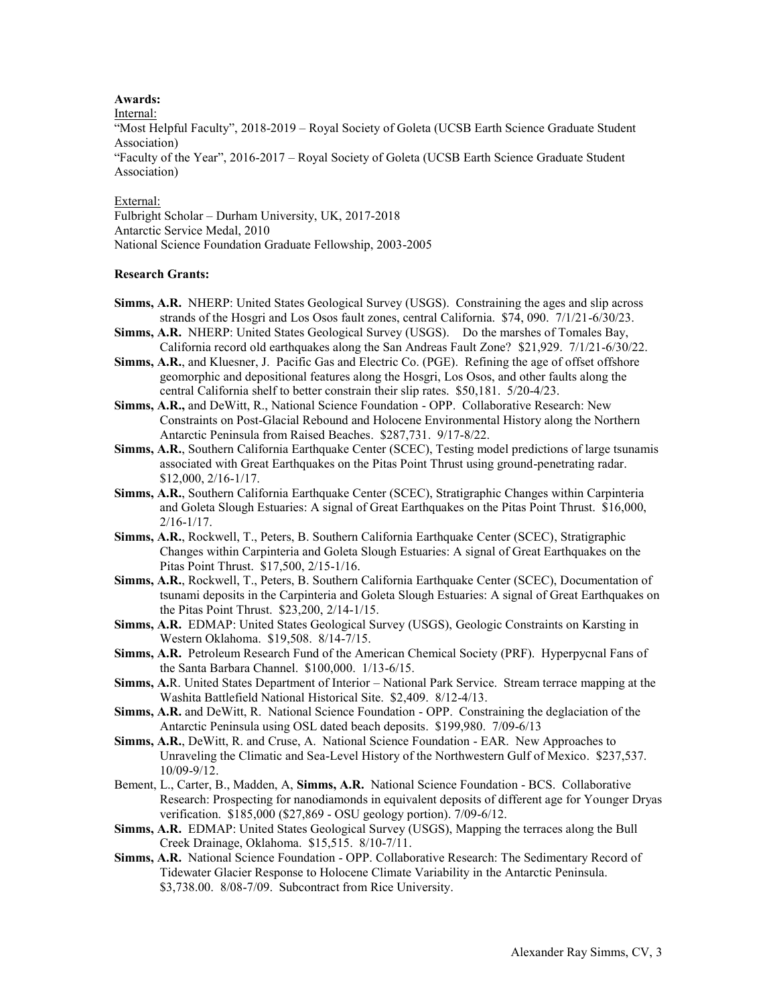# **Awards:**

Internal:

"Most Helpful Faculty", 2018-2019 – Royal Society of Goleta (UCSB Earth Science Graduate Student Association)

"Faculty of the Year", 2016-2017 – Royal Society of Goleta (UCSB Earth Science Graduate Student Association)

# External:

Fulbright Scholar – Durham University, UK, 2017-2018 Antarctic Service Medal, 2010 National Science Foundation Graduate Fellowship, 2003-2005

# **Research Grants:**

- **Simms, A.R.** NHERP: United States Geological Survey (USGS). Constraining the ages and slip across strands of the Hosgri and Los Osos fault zones, central California. \$74, 090. 7/1/21-6/30/23.
- **Simms, A.R.** NHERP: United States Geological Survey (USGS). Do the marshes of Tomales Bay, California record old earthquakes along the San Andreas Fault Zone? \$21,929. 7/1/21-6/30/22.
- **Simms, A.R.**, and Kluesner, J. Pacific Gas and Electric Co. (PGE). Refining the age of offset offshore geomorphic and depositional features along the Hosgri, Los Osos, and other faults along the central California shelf to better constrain their slip rates. \$50,181. 5/20-4/23.
- **Simms, A.R.,** and DeWitt, R., National Science Foundation OPP. Collaborative Research: New Constraints on Post-Glacial Rebound and Holocene Environmental History along the Northern Antarctic Peninsula from Raised Beaches. \$287,731. 9/17-8/22.
- **Simms, A.R.**, Southern California Earthquake Center (SCEC), Testing model predictions of large tsunamis associated with Great Earthquakes on the Pitas Point Thrust using ground-penetrating radar. \$12,000, 2/16-1/17.
- **Simms, A.R.**, Southern California Earthquake Center (SCEC), Stratigraphic Changes within Carpinteria and Goleta Slough Estuaries: A signal of Great Earthquakes on the Pitas Point Thrust. \$16,000,  $2/16 - 1/17$ .
- **Simms, A.R.**, Rockwell, T., Peters, B. Southern California Earthquake Center (SCEC), Stratigraphic Changes within Carpinteria and Goleta Slough Estuaries: A signal of Great Earthquakes on the Pitas Point Thrust. \$17,500, 2/15-1/16.
- **Simms, A.R.**, Rockwell, T., Peters, B. Southern California Earthquake Center (SCEC), Documentation of tsunami deposits in the Carpinteria and Goleta Slough Estuaries: A signal of Great Earthquakes on the Pitas Point Thrust. \$23,200, 2/14-1/15.
- **Simms, A.R.** EDMAP: United States Geological Survey (USGS), Geologic Constraints on Karsting in Western Oklahoma. \$19,508. 8/14-7/15.
- **Simms, A.R.** Petroleum Research Fund of the American Chemical Society (PRF). Hyperpycnal Fans of the Santa Barbara Channel. \$100,000. 1/13-6/15.
- **Simms, A.**R. United States Department of Interior National Park Service. Stream terrace mapping at the Washita Battlefield National Historical Site. \$2,409. 8/12-4/13.
- **Simms, A.R.** and DeWitt, R. National Science Foundation OPP. Constraining the deglaciation of the Antarctic Peninsula using OSL dated beach deposits. \$199,980. 7/09-6/13
- **Simms, A.R.**, DeWitt, R. and Cruse, A. National Science Foundation EAR. New Approaches to Unraveling the Climatic and Sea-Level History of the Northwestern Gulf of Mexico. \$237,537. 10/09-9/12.
- Bement, L., Carter, B., Madden, A, **Simms, A.R.** National Science Foundation BCS. Collaborative Research: Prospecting for nanodiamonds in equivalent deposits of different age for Younger Dryas verification. \$185,000 (\$27,869 - OSU geology portion). 7/09-6/12.
- **Simms, A.R.** EDMAP: United States Geological Survey (USGS), Mapping the terraces along the Bull Creek Drainage, Oklahoma. \$15,515. 8/10-7/11.
- **Simms, A.R.** National Science Foundation OPP. Collaborative Research: The Sedimentary Record of Tidewater Glacier Response to Holocene Climate Variability in the Antarctic Peninsula. \$3,738.00. 8/08-7/09. Subcontract from Rice University.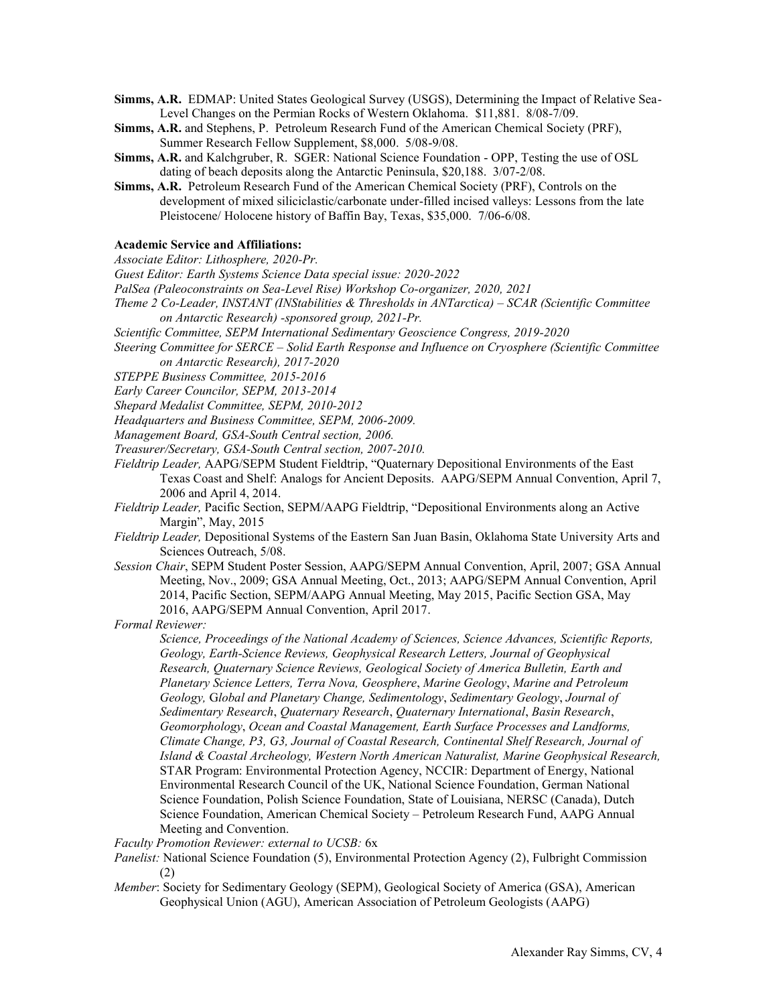- **Simms, A.R.** EDMAP: United States Geological Survey (USGS), Determining the Impact of Relative Sea-Level Changes on the Permian Rocks of Western Oklahoma. \$11,881. 8/08-7/09.
- **Simms, A.R.** and Stephens, P. Petroleum Research Fund of the American Chemical Society (PRF), Summer Research Fellow Supplement, \$8,000. 5/08-9/08.
- **Simms, A.R.** and Kalchgruber, R. SGER: National Science Foundation OPP, Testing the use of OSL dating of beach deposits along the Antarctic Peninsula, \$20,188. 3/07-2/08.
- **Simms, A.R.** Petroleum Research Fund of the American Chemical Society (PRF), Controls on the development of mixed siliciclastic/carbonate under-filled incised valleys: Lessons from the late Pleistocene/ Holocene history of Baffin Bay, Texas, \$35,000. 7/06-6/08.

# **Academic Service and Affiliations:**

*Associate Editor: Lithosphere, 2020-Pr.*

*Guest Editor: Earth Systems Science Data special issue: 2020-2022*

*PalSea (Paleoconstraints on Sea-Level Rise) Workshop Co-organizer, 2020, 2021*

- *Theme 2 Co-Leader, INSTANT (INStabilities & Thresholds in ANTarctica) – SCAR (Scientific Committee on Antarctic Research) -sponsored group, 2021-Pr.*
- *Scientific Committee, SEPM International Sedimentary Geoscience Congress, 2019-2020*
- *Steering Committee for SERCE – Solid Earth Response and Influence on Cryosphere (Scientific Committee on Antarctic Research), 2017-2020*

*STEPPE Business Committee, 2015-2016*

*Early Career Councilor, SEPM, 2013-2014*

*Shepard Medalist Committee, SEPM, 2010-2012*

*Headquarters and Business Committee, SEPM, 2006-2009.*

*Management Board, GSA-South Central section, 2006.*

*Treasurer/Secretary, GSA-South Central section, 2007-2010.*

- *Fieldtrip Leader,* AAPG/SEPM Student Fieldtrip, "Quaternary Depositional Environments of the East Texas Coast and Shelf: Analogs for Ancient Deposits. AAPG/SEPM Annual Convention, April 7, 2006 and April 4, 2014.
- *Fieldtrip Leader,* Pacific Section, SEPM/AAPG Fieldtrip, "Depositional Environments along an Active Margin", May, 2015
- *Fieldtrip Leader,* Depositional Systems of the Eastern San Juan Basin, Oklahoma State University Arts and Sciences Outreach, 5/08.
- *Session Chair*, SEPM Student Poster Session, AAPG/SEPM Annual Convention, April, 2007; GSA Annual Meeting, Nov., 2009; GSA Annual Meeting, Oct., 2013; AAPG/SEPM Annual Convention, April 2014, Pacific Section, SEPM/AAPG Annual Meeting, May 2015, Pacific Section GSA, May 2016, AAPG/SEPM Annual Convention, April 2017.

*Formal Reviewer:*

*Science, Proceedings of the National Academy of Sciences, Science Advances, Scientific Reports, Geology, Earth-Science Reviews, Geophysical Research Letters, Journal of Geophysical Research, Quaternary Science Reviews, Geological Society of America Bulletin, Earth and Planetary Science Letters, Terra Nova, Geosphere*, *Marine Geology*, *Marine and Petroleum Geology,* G*lobal and Planetary Change, Sedimentology*, *Sedimentary Geology*, *Journal of Sedimentary Research*, *Quaternary Research*, *Quaternary International*, *Basin Research*, *Geomorphology*, *Ocean and Coastal Management, Earth Surface Processes and Landforms, Climate Change, P3, G3, Journal of Coastal Research, Continental Shelf Research, Journal of Island & Coastal Archeology, Western North American Naturalist, Marine Geophysical Research,*  STAR Program: Environmental Protection Agency, NCCIR: Department of Energy, National Environmental Research Council of the UK, National Science Foundation, German National Science Foundation, Polish Science Foundation, State of Louisiana, NERSC (Canada), Dutch Science Foundation, American Chemical Society – Petroleum Research Fund, AAPG Annual Meeting and Convention.

*Faculty Promotion Reviewer: external to UCSB:* 6x

- *Panelist:* National Science Foundation (5), Environmental Protection Agency (2), Fulbright Commission (2)
- *Member*: Society for Sedimentary Geology (SEPM), Geological Society of America (GSA), American Geophysical Union (AGU), American Association of Petroleum Geologists (AAPG)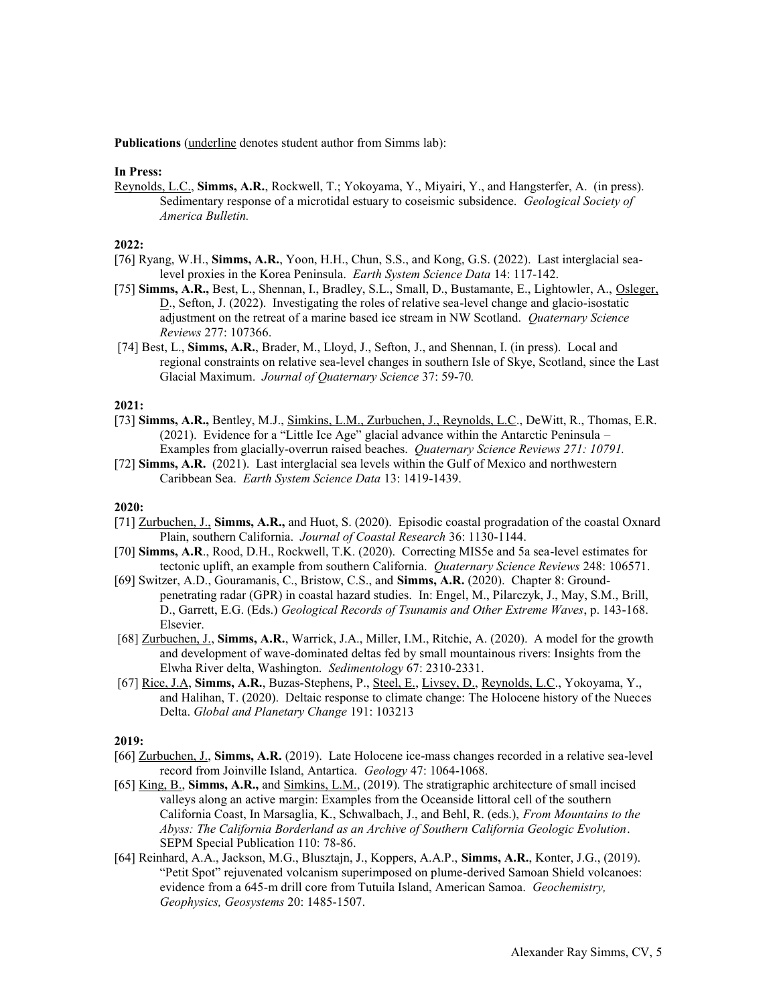**Publications** (underline denotes student author from Simms lab):

#### **In Press:**

Reynolds, L.C., **Simms, A.R.**, Rockwell, T.; Yokoyama, Y., Miyairi, Y., and Hangsterfer, A. (in press). Sedimentary response of a microtidal estuary to coseismic subsidence. *Geological Society of America Bulletin.*

#### **2022:**

- [76] Ryang, W.H., **Simms, A.R.**, Yoon, H.H., Chun, S.S., and Kong, G.S. (2022). Last interglacial sealevel proxies in the Korea Peninsula. *Earth System Science Data* 14: 117-142.
- [75] **Simms, A.R.,** Best, L., Shennan, I., Bradley, S.L., Small, D., Bustamante, E., Lightowler, A., Osleger, D., Sefton, J. (2022). Investigating the roles of relative sea-level change and glacio-isostatic adjustment on the retreat of a marine based ice stream in NW Scotland. *Quaternary Science Reviews* 277: 107366.
- [74] Best, L., **Simms, A.R.**, Brader, M., Lloyd, J., Sefton, J., and Shennan, I. (in press). Local and regional constraints on relative sea-level changes in southern Isle of Skye, Scotland, since the Last Glacial Maximum. *Journal of Quaternary Science* 37: 59-70*.*

### **2021:**

- [73] **Simms, A.R.,** Bentley, M.J., Simkins, L.M., Zurbuchen, J., Reynolds, L.C., DeWitt, R., Thomas, E.R. (2021). Evidence for a "Little Ice Age" glacial advance within the Antarctic Peninsula – Examples from glacially-overrun raised beaches. *Quaternary Science Reviews 271: 10791.*
- [72] **Simms, A.R.** (2021). Last interglacial sea levels within the Gulf of Mexico and northwestern Caribbean Sea. *Earth System Science Data* 13: 1419-1439.

#### **2020:**

- [71] Zurbuchen, J., Simms, A.R., and Huot, S. (2020). Episodic coastal progradation of the coastal Oxnard Plain, southern California. *Journal of Coastal Research* 36: 1130-1144.
- [70] **Simms, A.R**., Rood, D.H., Rockwell, T.K. (2020). Correcting MIS5e and 5a sea-level estimates for tectonic uplift, an example from southern California. *Quaternary Science Reviews* 248: 106571.
- [69] Switzer, A.D., Gouramanis, C., Bristow, C.S., and **Simms, A.R.** (2020). Chapter 8: Groundpenetrating radar (GPR) in coastal hazard studies. In: Engel, M., Pilarczyk, J., May, S.M., Brill, D., Garrett, E.G. (Eds.) *Geological Records of Tsunamis and Other Extreme Waves*, p. 143-168. Elsevier.
- [68] Zurbuchen, J., **Simms, A.R.**, Warrick, J.A., Miller, I.M., Ritchie, A. (2020). A model for the growth and development of wave-dominated deltas fed by small mountainous rivers: Insights from the Elwha River delta, Washington. *Sedimentology* 67: 2310-2331.
- [67] Rice, J.A, **Simms, A.R.**, Buzas-Stephens, P., Steel, E., Livsey, D., Reynolds, L.C., Yokoyama, Y., and Halihan, T. (2020). Deltaic response to climate change: The Holocene history of the Nueces Delta. *Global and Planetary Change* 191: 103213

### **2019:**

- [66] Zurbuchen, J., **Simms, A.R.** (2019). Late Holocene ice-mass changes recorded in a relative sea-level record from Joinville Island, Antartica. *Geology* 47: 1064-1068.
- [65] King, B., **Simms, A.R.,** and Simkins, L.M., (2019). The stratigraphic architecture of small incised valleys along an active margin: Examples from the Oceanside littoral cell of the southern California Coast, In Marsaglia, K., Schwalbach, J., and Behl, R. (eds.), *From Mountains to the Abyss: The California Borderland as an Archive of Southern California Geologic Evolution*. SEPM Special Publication 110: 78-86.
- [64] Reinhard, A.A., Jackson, M.G., Blusztajn, J., Koppers, A.A.P., **Simms, A.R.**, Konter, J.G., (2019). "Petit Spot" rejuvenated volcanism superimposed on plume-derived Samoan Shield volcanoes: evidence from a 645-m drill core from Tutuila Island, American Samoa. *Geochemistry, Geophysics, Geosystems* 20: 1485-1507.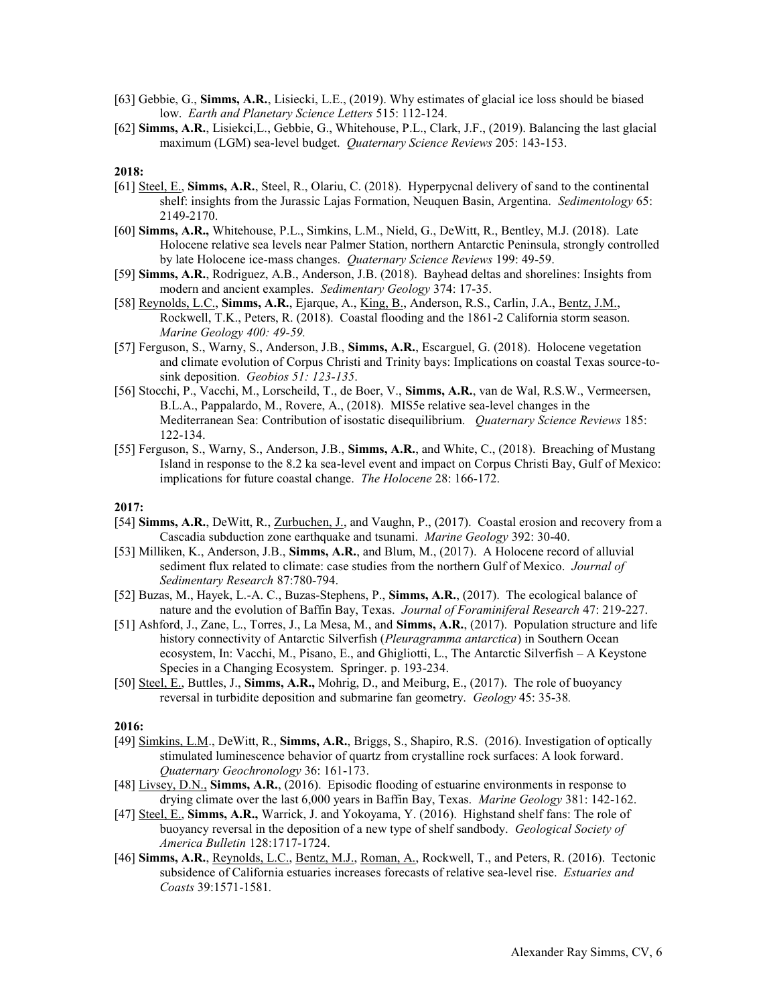- [63] Gebbie, G., **Simms, A.R.**, Lisiecki, L.E., (2019). Why estimates of glacial ice loss should be biased low. *Earth and Planetary Science Letters* 515: 112-124.
- [62] **Simms, A.R.**, Lisiekci,L., Gebbie, G., Whitehouse, P.L., Clark, J.F., (2019). Balancing the last glacial maximum (LGM) sea-level budget. *Quaternary Science Reviews* 205: 143-153.

- [61] Steel, E., **Simms, A.R.**, Steel, R., Olariu, C. (2018). Hyperpycnal delivery of sand to the continental shelf: insights from the Jurassic Lajas Formation, Neuquen Basin, Argentina. *Sedimentology* 65: 2149-2170.
- [60] **Simms, A.R.,** Whitehouse, P.L., Simkins, L.M., Nield, G., DeWitt, R., Bentley, M.J. (2018). Late Holocene relative sea levels near Palmer Station, northern Antarctic Peninsula, strongly controlled by late Holocene ice-mass changes. *Quaternary Science Reviews* 199: 49-59.
- [59] **Simms, A.R.**, Rodriguez, A.B., Anderson, J.B. (2018). Bayhead deltas and shorelines: Insights from modern and ancient examples. *Sedimentary Geology* 374: 17-35.
- [58] Reynolds, L.C., **Simms, A.R.**, Ejarque, A., King, B., Anderson, R.S., Carlin, J.A., Bentz, J.M., Rockwell, T.K., Peters, R. (2018). Coastal flooding and the 1861-2 California storm season. *Marine Geology 400: 49-59.*
- [57] Ferguson, S., Warny, S., Anderson, J.B., **Simms, A.R.**, Escarguel, G. (2018). Holocene vegetation and climate evolution of Corpus Christi and Trinity bays: Implications on coastal Texas source-tosink deposition. *Geobios 51: 123-135*.
- [56] Stocchi, P., Vacchi, M., Lorscheild, T., de Boer, V., **Simms, A.R.**, van de Wal, R.S.W., Vermeersen, B.L.A., Pappalardo, M., Rovere, A., (2018). MIS5e relative sea-level changes in the Mediterranean Sea: Contribution of isostatic disequilibrium. *Quaternary Science Reviews* 185: 122-134.
- [55] Ferguson, S., Warny, S., Anderson, J.B., **Simms, A.R.**, and White, C., (2018). Breaching of Mustang Island in response to the 8.2 ka sea-level event and impact on Corpus Christi Bay, Gulf of Mexico: implications for future coastal change. *The Holocene* 28: 166-172.

#### **2017:**

- [54] **Simms, A.R.**, DeWitt, R., Zurbuchen, J., and Vaughn, P., (2017). Coastal erosion and recovery from a Cascadia subduction zone earthquake and tsunami. *Marine Geology* 392: 30-40.
- [53] Milliken, K., Anderson, J.B., **Simms, A.R.**, and Blum, M., (2017). A Holocene record of alluvial sediment flux related to climate: case studies from the northern Gulf of Mexico. *Journal of Sedimentary Research* 87:780-794.
- [52] Buzas, M., Hayek, L.-A. C., Buzas-Stephens, P., **Simms, A.R.**, (2017). The ecological balance of nature and the evolution of Baffin Bay, Texas. *Journal of Foraminiferal Research* 47: 219-227.
- [51] Ashford, J., Zane, L., Torres, J., La Mesa, M., and **Simms, A.R.**, (2017). Population structure and life history connectivity of Antarctic Silverfish (*Pleuragramma antarctica*) in Southern Ocean ecosystem, In: Vacchi, M., Pisano, E., and Ghigliotti, L., The Antarctic Silverfish – A Keystone Species in a Changing Ecosystem. Springer. p. 193-234.
- [50] Steel, E., Buttles, J., **Simms, A.R.,** Mohrig, D., and Meiburg, E., (2017). The role of buoyancy reversal in turbidite deposition and submarine fan geometry. *Geology* 45: 35-38*.*

### **2016:**

- [49] Simkins, L.M., DeWitt, R., **Simms, A.R.**, Briggs, S., Shapiro, R.S. (2016). Investigation of optically stimulated luminescence behavior of quartz from crystalline rock surfaces: A look forward. *Quaternary Geochronology* 36: 161-173.
- [48] Livsey, D.N., **Simms, A.R.**, (2016). Episodic flooding of estuarine environments in response to drying climate over the last 6,000 years in Baffin Bay, Texas. *Marine Geology* 381: 142-162.
- [47] Steel, E., Simms, A.R., Warrick, J. and Yokoyama, Y. (2016). Highstand shelf fans: The role of buoyancy reversal in the deposition of a new type of shelf sandbody. *Geological Society of America Bulletin* 128:1717-1724.
- [46] Simms, A.R., Reynolds, L.C., Bentz, M.J., Roman, A., Rockwell, T., and Peters, R. (2016). Tectonic subsidence of California estuaries increases forecasts of relative sea-level rise. *Estuaries and Coasts* 39:1571-1581*.*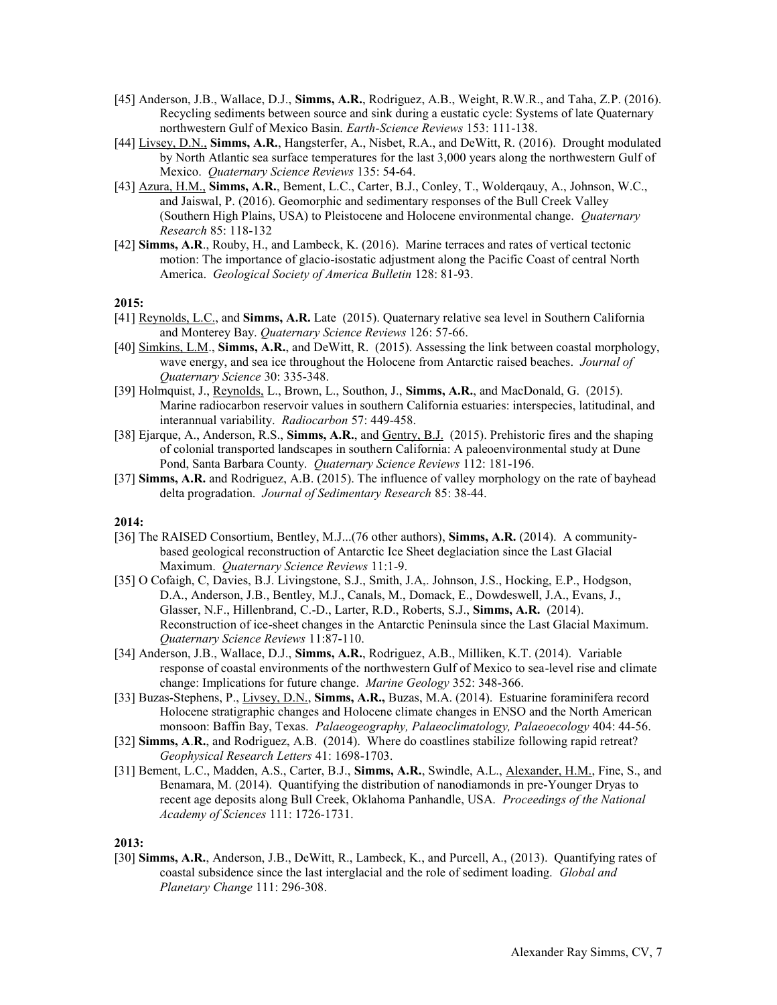- [45] Anderson, J.B., Wallace, D.J., **Simms, A.R.**, Rodriguez, A.B., Weight, R.W.R., and Taha, Z.P. (2016). Recycling sediments between source and sink during a eustatic cycle: Systems of late Quaternary northwestern Gulf of Mexico Basin. *Earth-Science Reviews* 153: 111-138.
- [44] Livsey, D.N., **Simms, A.R.**, Hangsterfer, A., Nisbet, R.A., and DeWitt, R. (2016). Drought modulated by North Atlantic sea surface temperatures for the last 3,000 years along the northwestern Gulf of Mexico. *Quaternary Science Reviews* 135: 54-64.
- [43] Azura, H.M., **Simms, A.R.**, Bement, L.C., Carter, B.J., Conley, T., Wolderqauy, A., Johnson, W.C., and Jaiswal, P. (2016). Geomorphic and sedimentary responses of the Bull Creek Valley (Southern High Plains, USA) to Pleistocene and Holocene environmental change. *Quaternary Research* 85: 118-132
- [42] **Simms, A.R**., Rouby, H., and Lambeck, K. (2016). Marine terraces and rates of vertical tectonic motion: The importance of glacio-isostatic adjustment along the Pacific Coast of central North America. *Geological Society of America Bulletin* 128: 81-93.

- [41] Reynolds, L.C., and **Simms, A.R.** Late (2015). Quaternary relative sea level in Southern California and Monterey Bay. *Quaternary Science Reviews* 126: 57-66.
- [40] Simkins, L.M., **Simms, A.R.**, and DeWitt, R. (2015). Assessing the link between coastal morphology, wave energy, and sea ice throughout the Holocene from Antarctic raised beaches. *Journal of Quaternary Science* 30: 335-348.
- [39] Holmquist, J., Reynolds, L., Brown, L., Southon, J., **Simms, A.R.**, and MacDonald, G. (2015). Marine radiocarbon reservoir values in southern California estuaries: interspecies, latitudinal, and interannual variability. *Radiocarbon* 57: 449-458.
- [38] Ejarque, A., Anderson, R.S., **Simms, A.R.**, and Gentry, B.J. (2015). Prehistoric fires and the shaping of colonial transported landscapes in southern California: A paleoenvironmental study at Dune Pond, Santa Barbara County. *Quaternary Science Reviews* 112: 181-196.
- [37] **Simms, A.R.** and Rodriguez, A.B. (2015). The influence of valley morphology on the rate of bayhead delta progradation. *Journal of Sedimentary Research* 85: 38-44.

### **2014:**

- [36] The RAISED Consortium, Bentley, M.J...(76 other authors), **Simms, A.R.** (2014). A communitybased geological reconstruction of Antarctic Ice Sheet deglaciation since the Last Glacial Maximum. *Quaternary Science Reviews* 11:1-9.
- [35] O Cofaigh, C, Davies, B.J. Livingstone, S.J., Smith, J.A,. Johnson, J.S., Hocking, E.P., Hodgson, D.A., Anderson, J.B., Bentley, M.J., Canals, M., Domack, E., Dowdeswell, J.A., Evans, J., Glasser, N.F., Hillenbrand, C.-D., Larter, R.D., Roberts, S.J., **Simms, A.R.** (2014). Reconstruction of ice-sheet changes in the Antarctic Peninsula since the Last Glacial Maximum. *Quaternary Science Reviews* 11:87-110.
- [34] Anderson, J.B., Wallace, D.J., **Simms, A.R.**, Rodriguez, A.B., Milliken, K.T. (2014). Variable response of coastal environments of the northwestern Gulf of Mexico to sea-level rise and climate change: Implications for future change. *Marine Geology* 352: 348-366.
- [33] Buzas-Stephens, P., Livsey, D.N., **Simms, A.R.,** Buzas, M.A. (2014). Estuarine foraminifera record Holocene stratigraphic changes and Holocene climate changes in ENSO and the North American monsoon: Baffin Bay, Texas. *Palaeogeography, Palaeoclimatology, Palaeoecology* 404: 44-56.
- [32] **Simms, A**.**R.**, and Rodriguez, A.B. (2014). Where do coastlines stabilize following rapid retreat? *Geophysical Research Letters* 41: 1698-1703.
- [31] Bement, L.C., Madden, A.S., Carter, B.J., **Simms, A.R.**, Swindle, A.L., Alexander, H.M., Fine, S., and Benamara, M. (2014). Quantifying the distribution of nanodiamonds in pre-Younger Dryas to recent age deposits along Bull Creek, Oklahoma Panhandle, USA. *Proceedings of the National Academy of Sciences* 111: 1726-1731.

#### **2013:**

[30] **Simms, A.R.**, Anderson, J.B., DeWitt, R., Lambeck, K., and Purcell, A., (2013). Quantifying rates of coastal subsidence since the last interglacial and the role of sediment loading. *Global and Planetary Change* 111: 296-308.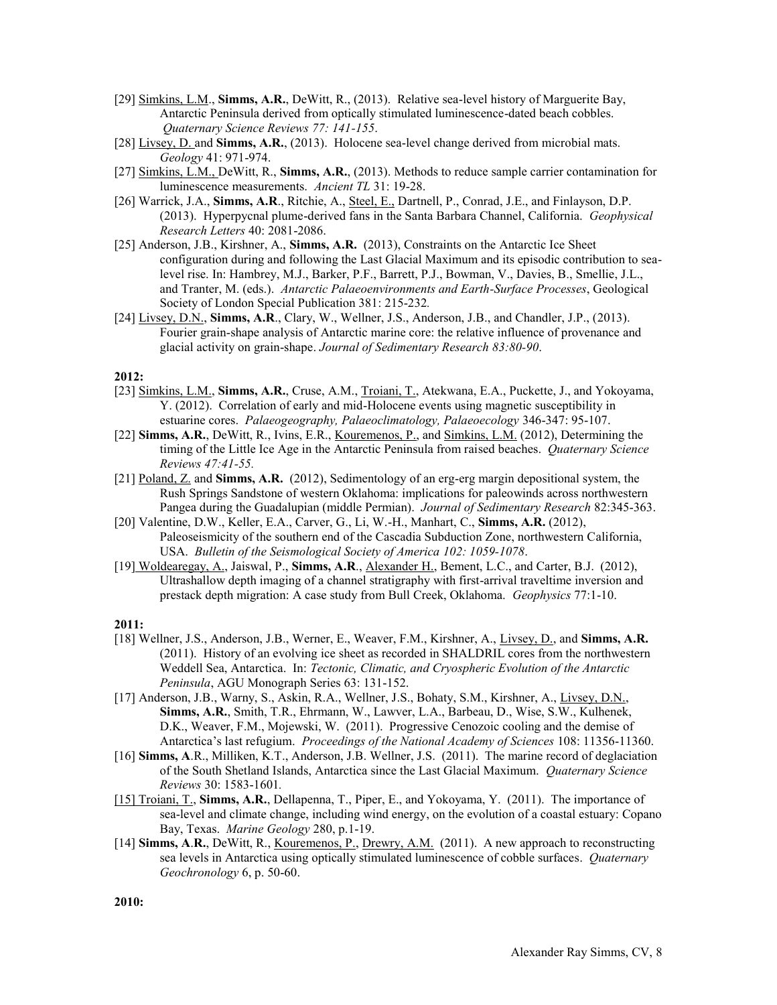- [29] Simkins, L.M., **Simms, A.R.**, DeWitt, R., (2013). Relative sea-level history of Marguerite Bay, Antarctic Peninsula derived from optically stimulated luminescence-dated beach cobbles. *Quaternary Science Reviews 77: 141-155*.
- [28] Livsey, D. and **Simms, A.R.**, (2013). Holocene sea-level change derived from microbial mats. *Geology* 41: 971-974.
- [27] Simkins, L.M., DeWitt, R., **Simms, A.R.**, (2013). Methods to reduce sample carrier contamination for luminescence measurements. *Ancient TL* 31: 19-28.
- [26] Warrick, J.A., **Simms, A.R**., Ritchie, A., Steel, E., Dartnell, P., Conrad, J.E., and Finlayson, D.P. (2013). Hyperpycnal plume-derived fans in the Santa Barbara Channel, California. *Geophysical Research Letters* 40: 2081-2086.
- [25] Anderson, J.B., Kirshner, A., **Simms, A.R.** (2013), Constraints on the Antarctic Ice Sheet configuration during and following the Last Glacial Maximum and its episodic contribution to sealevel rise. In: Hambrey, M.J., Barker, P.F., Barrett, P.J., Bowman, V., Davies, B., Smellie, J.L., and Tranter, M. (eds.). *Antarctic Palaeoenvironments and Earth-Surface Processes*, Geological Society of London Special Publication 381: 215-232*.*
- [24] Livsey, D.N., **Simms, A.R**., Clary, W., Wellner, J.S., Anderson, J.B., and Chandler, J.P., (2013). Fourier grain-shape analysis of Antarctic marine core: the relative influence of provenance and glacial activity on grain-shape. *Journal of Sedimentary Research 83:80-90*.

- [23] Simkins, L.M., **Simms, A.R.**, Cruse, A.M., Troiani, T., Atekwana, E.A., Puckette, J., and Yokoyama, Y. (2012). Correlation of early and mid-Holocene events using magnetic susceptibility in estuarine cores. *Palaeogeography, Palaeoclimatology, Palaeoecology* 346-347: 95-107.
- [22] **Simms, A.R.**, DeWitt, R., Ivins, E.R., Kouremenos, P., and Simkins, L.M. (2012), Determining the timing of the Little Ice Age in the Antarctic Peninsula from raised beaches. *Quaternary Science Reviews 47:41-55.*
- [21] Poland, Z. and **Simms, A.R.** (2012), Sedimentology of an erg-erg margin depositional system, the Rush Springs Sandstone of western Oklahoma: implications for paleowinds across northwestern Pangea during the Guadalupian (middle Permian). *Journal of Sedimentary Research* 82:345-363.
- [20] Valentine, D.W., Keller, E.A., Carver, G., Li, W.-H., Manhart, C., **Simms, A.R.** (2012), Paleoseismicity of the southern end of the Cascadia Subduction Zone, northwestern California, USA. *Bulletin of the Seismological Society of America 102: 1059-1078*.
- [19] Woldearegay, A., Jaiswal, P., **Simms, A.R**., Alexander H., Bement, L.C., and Carter, B.J. (2012), Ultrashallow depth imaging of a channel stratigraphy with first-arrival traveltime inversion and prestack depth migration: A case study from Bull Creek, Oklahoma. *Geophysics* 77:1-10.

### **2011:**

- [18] Wellner, J.S., Anderson, J.B., Werner, E., Weaver, F.M., Kirshner, A., Livsey, D., and **Simms, A.R.** (2011). History of an evolving ice sheet as recorded in SHALDRIL cores from the northwestern Weddell Sea, Antarctica. In: *Tectonic, Climatic, and Cryospheric Evolution of the Antarctic Peninsula*, AGU Monograph Series 63: 131-152.
- [17] Anderson, J.B., Warny, S., Askin, R.A., Wellner, J.S., Bohaty, S.M., Kirshner, A., Livsey, D.N., **Simms, A.R.**, Smith, T.R., Ehrmann, W., Lawver, L.A., Barbeau, D., Wise, S.W., Kulhenek, D.K., Weaver, F.M., Mojewski, W. (2011). Progressive Cenozoic cooling and the demise of Antarctica's last refugium. *Proceedings of the National Academy of Sciences* 108: 11356-11360.
- [16] **Simms, A.R., Milliken, K.T., Anderson, J.B. Wellner, J.S.** (2011). The marine record of deglaciation of the South Shetland Islands, Antarctica since the Last Glacial Maximum. *Quaternary Science Reviews* 30: 1583-1601*.*
- [15] Troiani, T., **Simms, A.R.**, Dellapenna, T., Piper, E., and Yokoyama, Y. (2011). The importance of sea-level and climate change, including wind energy, on the evolution of a coastal estuary: Copano Bay, Texas. *Marine Geology* 280, p.1-19.
- [14] **Simms, A**.**R.**, DeWitt, R., Kouremenos, P., Drewry, A.M. (2011). A new approach to reconstructing sea levels in Antarctica using optically stimulated luminescence of cobble surfaces. *Quaternary Geochronology* 6, p. 50-60.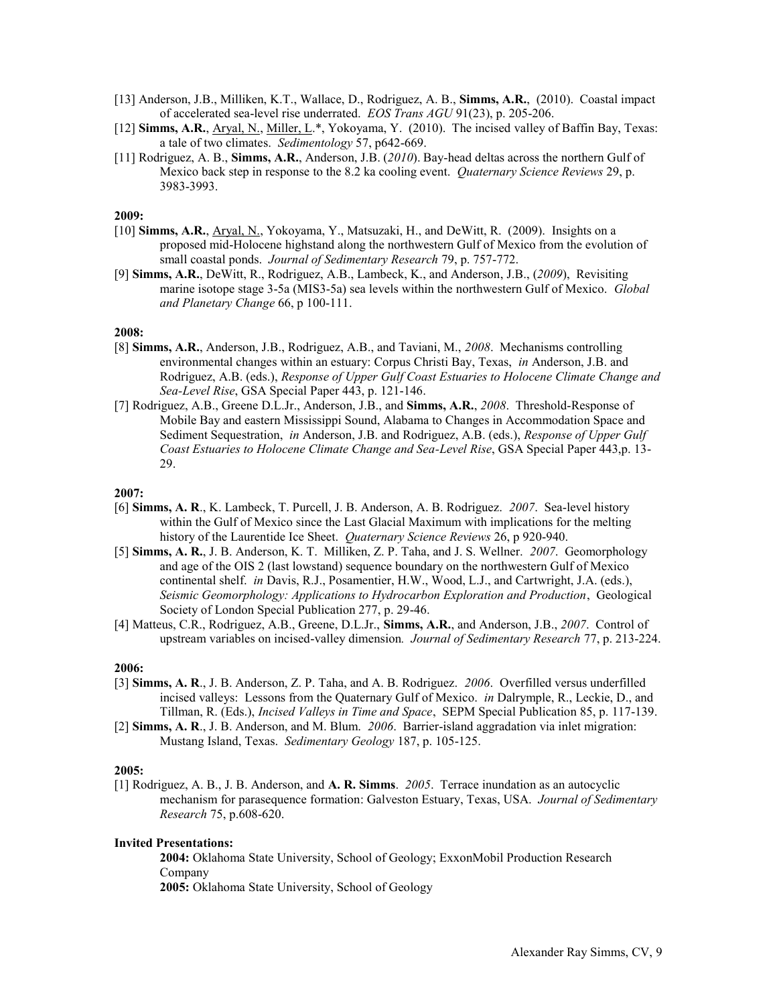- [13] Anderson, J.B., Milliken, K.T., Wallace, D., Rodriguez, A. B., **Simms, A.R.**, (2010). Coastal impact of accelerated sea-level rise underrated. *EOS Trans AGU* 91(23), p. 205-206.
- [12] **Simms, A.R.**, Aryal, N., Miller, L.\*, Yokoyama, Y. (2010). The incised valley of Baffin Bay, Texas: a tale of two climates. *Sedimentology* 57, p642-669.
- [11] Rodriguez, A. B., **Simms, A.R.**, Anderson, J.B. (*2010*). Bay-head deltas across the northern Gulf of Mexico back step in response to the 8.2 ka cooling event. *Quaternary Science Reviews* 29, p. 3983-3993.

- [10] **Simms, A.R.**, Aryal, N., Yokoyama, Y., Matsuzaki, H., and DeWitt, R. (2009). Insights on a proposed mid-Holocene highstand along the northwestern Gulf of Mexico from the evolution of small coastal ponds. *Journal of Sedimentary Research* 79, p. 757-772.
- [9] **Simms, A.R.**, DeWitt, R., Rodriguez, A.B., Lambeck, K., and Anderson, J.B., (*2009*), Revisiting marine isotope stage 3-5a (MIS3-5a) sea levels within the northwestern Gulf of Mexico. *Global and Planetary Change* 66, p 100-111.

# **2008:**

- [8] **Simms, A.R.**, Anderson, J.B., Rodriguez, A.B., and Taviani, M., *2008*. Mechanisms controlling environmental changes within an estuary: Corpus Christi Bay, Texas, *in* Anderson, J.B. and Rodriguez, A.B. (eds.), *Response of Upper Gulf Coast Estuaries to Holocene Climate Change and Sea-Level Rise*, GSA Special Paper 443, p. 121-146.
- [7] Rodriguez, A.B., Greene D.L.Jr., Anderson, J.B., and **Simms, A.R.**, *2008*. Threshold-Response of Mobile Bay and eastern Mississippi Sound, Alabama to Changes in Accommodation Space and Sediment Sequestration, *in* Anderson, J.B. and Rodriguez, A.B. (eds.), *Response of Upper Gulf Coast Estuaries to Holocene Climate Change and Sea-Level Rise*, GSA Special Paper 443,p. 13- 29.

#### **2007:**

- [6] **Simms, A. R**., K. Lambeck, T. Purcell, J. B. Anderson, A. B. Rodriguez. *2007*. Sea-level history within the Gulf of Mexico since the Last Glacial Maximum with implications for the melting history of the Laurentide Ice Sheet. *Quaternary Science Reviews* 26, p 920-940.
- [5] **Simms, A. R.**, J. B. Anderson, K. T. Milliken, Z. P. Taha, and J. S. Wellner. *2007*. Geomorphology and age of the OIS 2 (last lowstand) sequence boundary on the northwestern Gulf of Mexico continental shelf. *in* Davis, R.J., Posamentier, H.W., Wood, L.J., and Cartwright, J.A. (eds.), *Seismic Geomorphology: Applications to Hydrocarbon Exploration and Production*, Geological Society of London Special Publication 277, p. 29-46.
- [4] Matteus, C.R., Rodriguez, A.B., Greene, D.L.Jr., **Simms, A.R.**, and Anderson, J.B., *2007*. Control of upstream variables on incised-valley dimension*. Journal of Sedimentary Research* 77, p. 213-224.

#### **2006:**

- [3] **Simms, A. R**., J. B. Anderson, Z. P. Taha, and A. B. Rodriguez. *2006*. Overfilled versus underfilled incised valleys: Lessons from the Quaternary Gulf of Mexico. *in* Dalrymple, R., Leckie, D., and Tillman, R. (Eds.), *Incised Valleys in Time and Space*, SEPM Special Publication 85, p. 117-139.
- [2] **Simms, A. R**., J. B. Anderson, and M. Blum. *2006*. Barrier-island aggradation via inlet migration: Mustang Island, Texas. *Sedimentary Geology* 187, p. 105-125.

#### **2005:**

[1] Rodriguez, A. B., J. B. Anderson, and **A. R. Simms**. *2005*. Terrace inundation as an autocyclic mechanism for parasequence formation: Galveston Estuary, Texas, USA. *Journal of Sedimentary Research* 75, p.608-620.

#### **Invited Presentations:**

**2004:** Oklahoma State University, School of Geology; ExxonMobil Production Research Company

**2005:** Oklahoma State University, School of Geology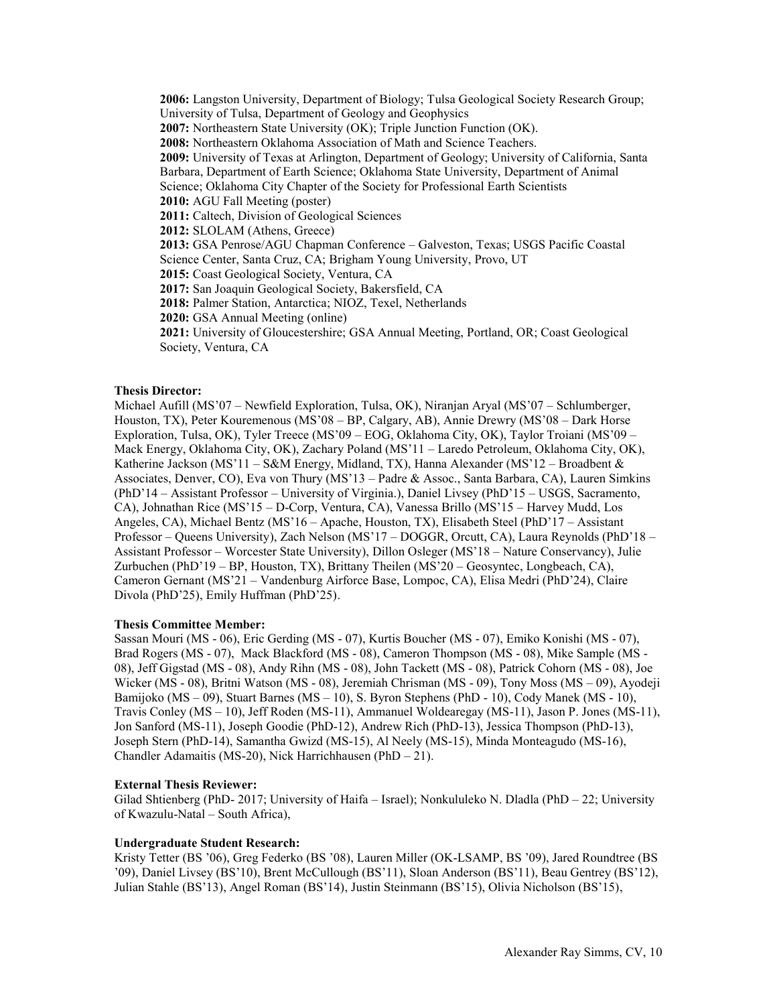**2006:** Langston University, Department of Biology; Tulsa Geological Society Research Group; University of Tulsa, Department of Geology and Geophysics **2007:** Northeastern State University (OK); Triple Junction Function (OK). **2008:** Northeastern Oklahoma Association of Math and Science Teachers. **2009:** University of Texas at Arlington, Department of Geology; University of California, Santa Barbara, Department of Earth Science; Oklahoma State University, Department of Animal Science; Oklahoma City Chapter of the Society for Professional Earth Scientists **2010:** AGU Fall Meeting (poster) **2011:** Caltech, Division of Geological Sciences **2012:** SLOLAM (Athens, Greece) **2013:** GSA Penrose/AGU Chapman Conference – Galveston, Texas; USGS Pacific Coastal Science Center, Santa Cruz, CA; Brigham Young University, Provo, UT **2015:** Coast Geological Society, Ventura, CA **2017:** San Joaquin Geological Society, Bakersfield, CA **2018:** Palmer Station, Antarctica; NIOZ, Texel, Netherlands **2020:** GSA Annual Meeting (online) **2021:** University of Gloucestershire; GSA Annual Meeting, Portland, OR; Coast Geological Society, Ventura, CA

### **Thesis Director:**

Michael Aufill (MS'07 – Newfield Exploration, Tulsa, OK), Niranjan Aryal (MS'07 – Schlumberger, Houston, TX), Peter Kouremenous (MS'08 – BP, Calgary, AB), Annie Drewry (MS'08 – Dark Horse Exploration, Tulsa, OK), Tyler Treece (MS'09 – EOG, Oklahoma City, OK), Taylor Troiani (MS'09 – Mack Energy, Oklahoma City, OK), Zachary Poland (MS'11 – Laredo Petroleum, Oklahoma City, OK), Katherine Jackson (MS'11 – S&M Energy, Midland, TX), Hanna Alexander (MS'12 – Broadbent & Associates, Denver, CO), Eva von Thury (MS'13 – Padre & Assoc., Santa Barbara, CA), Lauren Simkins (PhD'14 – Assistant Professor – University of Virginia.), Daniel Livsey (PhD'15 – USGS, Sacramento, CA), Johnathan Rice (MS'15 – D-Corp, Ventura, CA), Vanessa Brillo (MS'15 – Harvey Mudd, Los Angeles, CA), Michael Bentz (MS'16 – Apache, Houston, TX), Elisabeth Steel (PhD'17 – Assistant Professor – Queens University), Zach Nelson (MS'17 – DOGGR, Orcutt, CA), Laura Reynolds (PhD'18 – Assistant Professor – Worcester State University), Dillon Osleger (MS'18 – Nature Conservancy), Julie Zurbuchen (PhD'19 – BP, Houston, TX), Brittany Theilen (MS'20 – Geosyntec, Longbeach, CA), Cameron Gernant (MS'21 – Vandenburg Airforce Base, Lompoc, CA), Elisa Medri (PhD'24), Claire Divola (PhD'25), Emily Huffman (PhD'25).

#### **Thesis Committee Member:**

Sassan Mouri (MS - 06), Eric Gerding (MS - 07), Kurtis Boucher (MS - 07), Emiko Konishi (MS - 07), Brad Rogers (MS - 07), Mack Blackford (MS - 08), Cameron Thompson (MS - 08), Mike Sample (MS - 08), Jeff Gigstad (MS - 08), Andy Rihn (MS - 08), John Tackett (MS - 08), Patrick Cohorn (MS - 08), Joe Wicker (MS - 08), Britni Watson (MS - 08), Jeremiah Chrisman (MS - 09), Tony Moss (MS – 09), Ayodeji Bamijoko (MS – 09), Stuart Barnes (MS – 10), S. Byron Stephens (PhD - 10), Cody Manek (MS - 10), Travis Conley (MS – 10), Jeff Roden (MS-11), Ammanuel Woldearegay (MS-11), Jason P. Jones (MS-11), Jon Sanford (MS-11), Joseph Goodie (PhD-12), Andrew Rich (PhD-13), Jessica Thompson (PhD-13), Joseph Stern (PhD-14), Samantha Gwizd (MS-15), Al Neely (MS-15), Minda Monteagudo (MS-16), Chandler Adamaitis (MS-20), Nick Harrichhausen (PhD – 21).

#### **External Thesis Reviewer:**

Gilad Shtienberg (PhD- 2017; University of Haifa – Israel); Nonkululeko N. Dladla (PhD – 22; University of Kwazulu-Natal – South Africa),

#### **Undergraduate Student Research:**

Kristy Tetter (BS '06), Greg Federko (BS '08), Lauren Miller (OK-LSAMP, BS '09), Jared Roundtree (BS '09), Daniel Livsey (BS'10), Brent McCullough (BS'11), Sloan Anderson (BS'11), Beau Gentrey (BS'12), Julian Stahle (BS'13), Angel Roman (BS'14), Justin Steinmann (BS'15), Olivia Nicholson (BS'15),